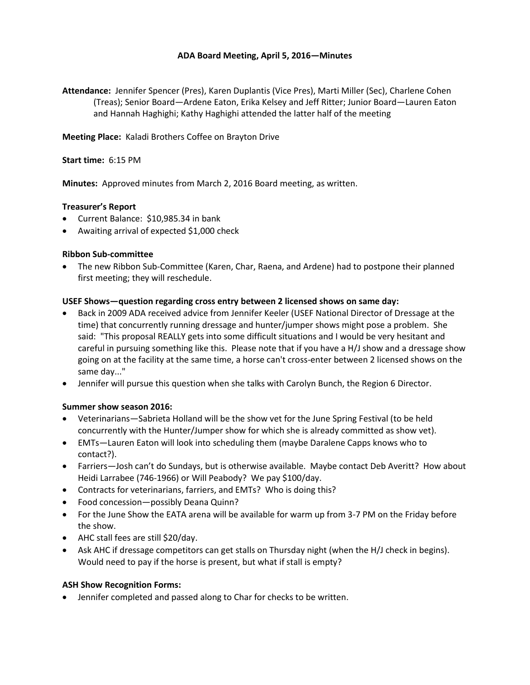# **ADA Board Meeting, April 5, 2016—Minutes**

**Attendance:** Jennifer Spencer (Pres), Karen Duplantis (Vice Pres), Marti Miller (Sec), Charlene Cohen (Treas); Senior Board—Ardene Eaton, Erika Kelsey and Jeff Ritter; Junior Board—Lauren Eaton and Hannah Haghighi; Kathy Haghighi attended the latter half of the meeting

**Meeting Place:** Kaladi Brothers Coffee on Brayton Drive

### **Start time:** 6:15 PM

**Minutes:** Approved minutes from March 2, 2016 Board meeting, as written.

### **Treasurer's Report**

- Current Balance: \$10,985.34 in bank
- Awaiting arrival of expected \$1,000 check

### **Ribbon Sub-committee**

• The new Ribbon Sub-Committee (Karen, Char, Raena, and Ardene) had to postpone their planned first meeting; they will reschedule.

### **USEF Shows—question regarding cross entry between 2 licensed shows on same day:**

- Back in 2009 ADA received advice from Jennifer Keeler (USEF National Director of Dressage at the time) that concurrently running dressage and hunter/jumper shows might pose a problem. She said: "This proposal REALLY gets into some difficult situations and I would be very hesitant and careful in pursuing something like this. Please note that if you have a H/J show and a dressage show going on at the facility at the same time, a horse can't cross-enter between 2 licensed shows on the same day..."
- Jennifer will pursue this question when she talks with Carolyn Bunch, the Region 6 Director.

### **Summer show season 2016:**

- Veterinarians—Sabrieta Holland will be the show vet for the June Spring Festival (to be held concurrently with the Hunter/Jumper show for which she is already committed as show vet).
- EMTs—Lauren Eaton will look into scheduling them (maybe Daralene Capps knows who to contact?).
- Farriers—Josh can't do Sundays, but is otherwise available. Maybe contact Deb Averitt? How about Heidi Larrabee (746-1966) or Will Peabody? We pay \$100/day.
- Contracts for veterinarians, farriers, and EMTs? Who is doing this?
- Food concession—possibly Deana Quinn?
- For the June Show the EATA arena will be available for warm up from 3-7 PM on the Friday before the show.
- AHC stall fees are still \$20/day.
- Ask AHC if dressage competitors can get stalls on Thursday night (when the H/J check in begins). Would need to pay if the horse is present, but what if stall is empty?

### **ASH Show Recognition Forms:**

• Jennifer completed and passed along to Char for checks to be written.